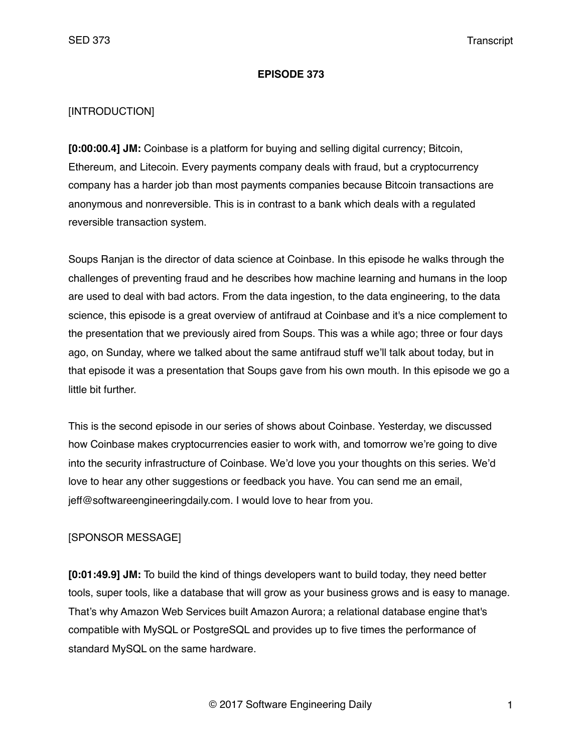## **EPISODE 373**

## [INTRODUCTION]

**[0:00:00.4] JM:** Coinbase is a platform for buying and selling digital currency; Bitcoin, Ethereum, and Litecoin. Every payments company deals with fraud, but a cryptocurrency company has a harder job than most payments companies because Bitcoin transactions are anonymous and nonreversible. This is in contrast to a bank which deals with a regulated reversible transaction system.

Soups Ranjan is the director of data science at Coinbase. In this episode he walks through the challenges of preventing fraud and he describes how machine learning and humans in the loop are used to deal with bad actors. From the data ingestion, to the data engineering, to the data science, this episode is a great overview of antifraud at Coinbase and it's a nice complement to the presentation that we previously aired from Soups. This was a while ago; three or four days ago, on Sunday, where we talked about the same antifraud stuff we'll talk about today, but in that episode it was a presentation that Soups gave from his own mouth. In this episode we go a little bit further.

This is the second episode in our series of shows about Coinbase. Yesterday, we discussed how Coinbase makes cryptocurrencies easier to work with, and tomorrow we're going to dive into the security infrastructure of Coinbase. We'd love you your thoughts on this series. We'd love to hear any other suggestions or feedback you have. You can send me an email, jeff@softwareengineeringdaily.com. I would love to hear from you.

## [SPONSOR MESSAGE]

**[0:01:49.9] JM:** To build the kind of things developers want to build today, they need better tools, super tools, like a database that will grow as your business grows and is easy to manage. That's why Amazon Web Services built Amazon Aurora; a relational database engine that's compatible with MySQL or PostgreSQL and provides up to five times the performance of standard MySQL on the same hardware.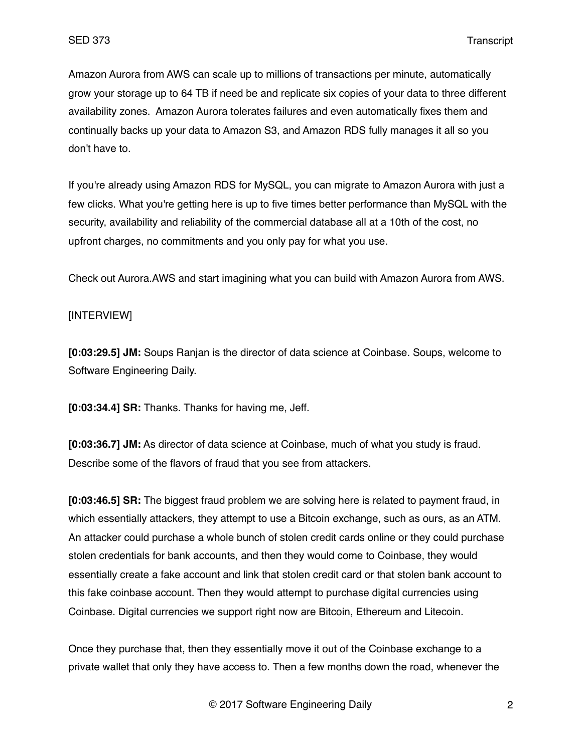Amazon Aurora from AWS can scale up to millions of transactions per minute, automatically grow your storage up to 64 TB if need be and replicate six copies of your data to three different availability zones. Amazon Aurora tolerates failures and even automatically fixes them and continually backs up your data to Amazon S3, and Amazon RDS fully manages it all so you don't have to.

If you're already using Amazon RDS for MySQL, you can migrate to Amazon Aurora with just a few clicks. What you're getting here is up to five times better performance than MySQL with the security, availability and reliability of the commercial database all at a 10th of the cost, no upfront charges, no commitments and you only pay for what you use.

Check out Aurora.AWS and start imagining what you can build with Amazon Aurora from AWS.

# [INTERVIEW]

**[0:03:29.5] JM:** Soups Ranjan is the director of data science at Coinbase. Soups, welcome to Software Engineering Daily.

**[0:03:34.4] SR:** Thanks. Thanks for having me, Jeff.

**[0:03:36.7] JM:** As director of data science at Coinbase, much of what you study is fraud. Describe some of the flavors of fraud that you see from attackers.

**[0:03:46.5] SR:** The biggest fraud problem we are solving here is related to payment fraud, in which essentially attackers, they attempt to use a Bitcoin exchange, such as ours, as an ATM. An attacker could purchase a whole bunch of stolen credit cards online or they could purchase stolen credentials for bank accounts, and then they would come to Coinbase, they would essentially create a fake account and link that stolen credit card or that stolen bank account to this fake coinbase account. Then they would attempt to purchase digital currencies using Coinbase. Digital currencies we support right now are Bitcoin, Ethereum and Litecoin.

Once they purchase that, then they essentially move it out of the Coinbase exchange to a private wallet that only they have access to. Then a few months down the road, whenever the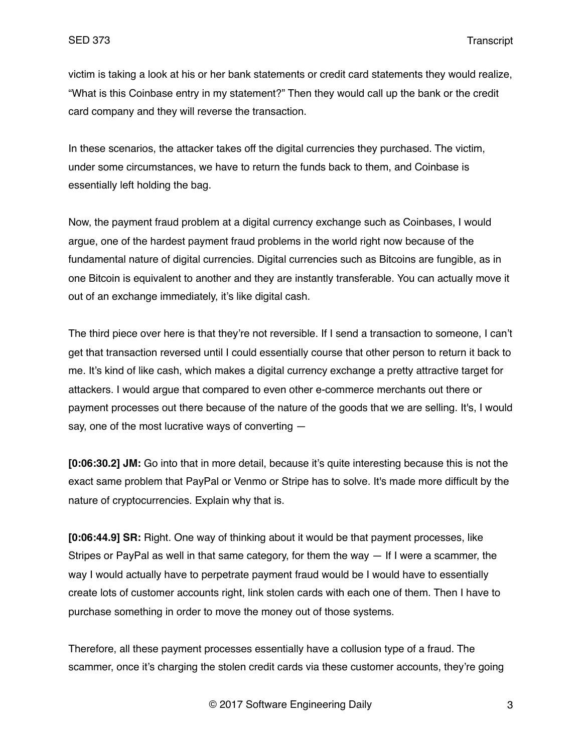victim is taking a look at his or her bank statements or credit card statements they would realize, "What is this Coinbase entry in my statement?" Then they would call up the bank or the credit card company and they will reverse the transaction.

In these scenarios, the attacker takes off the digital currencies they purchased. The victim, under some circumstances, we have to return the funds back to them, and Coinbase is essentially left holding the bag.

Now, the payment fraud problem at a digital currency exchange such as Coinbases, I would argue, one of the hardest payment fraud problems in the world right now because of the fundamental nature of digital currencies. Digital currencies such as Bitcoins are fungible, as in one Bitcoin is equivalent to another and they are instantly transferable. You can actually move it out of an exchange immediately, it's like digital cash.

The third piece over here is that they're not reversible. If I send a transaction to someone, I can't get that transaction reversed until I could essentially course that other person to return it back to me. It's kind of like cash, which makes a digital currency exchange a pretty attractive target for attackers. I would argue that compared to even other e-commerce merchants out there or payment processes out there because of the nature of the goods that we are selling. It's, I would say, one of the most lucrative ways of converting —

**[0:06:30.2] JM:** Go into that in more detail, because it's quite interesting because this is not the exact same problem that PayPal or Venmo or Stripe has to solve. It's made more difficult by the nature of cryptocurrencies. Explain why that is.

**[0:06:44.9] SR:** Right. One way of thinking about it would be that payment processes, like Stripes or PayPal as well in that same category, for them the way — If I were a scammer, the way I would actually have to perpetrate payment fraud would be I would have to essentially create lots of customer accounts right, link stolen cards with each one of them. Then I have to purchase something in order to move the money out of those systems.

Therefore, all these payment processes essentially have a collusion type of a fraud. The scammer, once it's charging the stolen credit cards via these customer accounts, they're going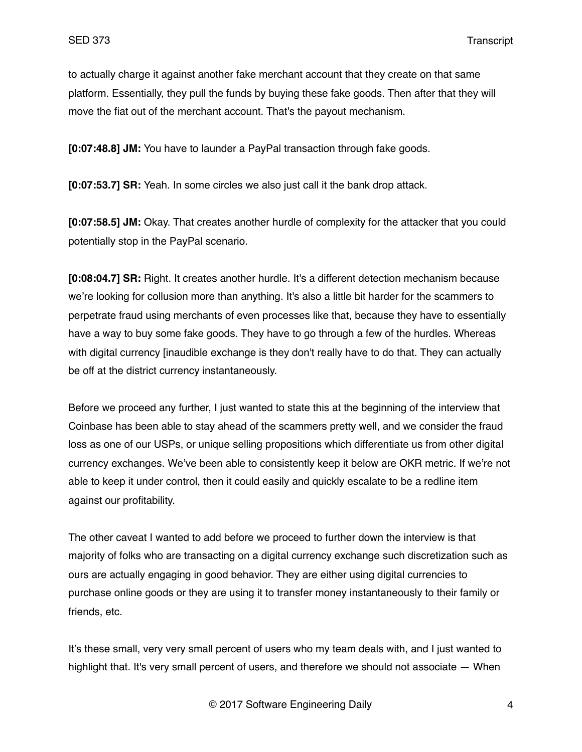to actually charge it against another fake merchant account that they create on that same platform. Essentially, they pull the funds by buying these fake goods. Then after that they will move the fiat out of the merchant account. That's the payout mechanism.

**[0:07:48.8] JM:** You have to launder a PayPal transaction through fake goods.

**[0:07:53.7] SR:** Yeah. In some circles we also just call it the bank drop attack.

**[0:07:58.5] JM:** Okay. That creates another hurdle of complexity for the attacker that you could potentially stop in the PayPal scenario.

**[0:08:04.7] SR:** Right. It creates another hurdle. It's a different detection mechanism because we're looking for collusion more than anything. It's also a little bit harder for the scammers to perpetrate fraud using merchants of even processes like that, because they have to essentially have a way to buy some fake goods. They have to go through a few of the hurdles. Whereas with digital currency [inaudible exchange is they don't really have to do that. They can actually be off at the district currency instantaneously.

Before we proceed any further, I just wanted to state this at the beginning of the interview that Coinbase has been able to stay ahead of the scammers pretty well, and we consider the fraud loss as one of our USPs, or unique selling propositions which differentiate us from other digital currency exchanges. We've been able to consistently keep it below are OKR metric. If we're not able to keep it under control, then it could easily and quickly escalate to be a redline item against our profitability.

The other caveat I wanted to add before we proceed to further down the interview is that majority of folks who are transacting on a digital currency exchange such discretization such as ours are actually engaging in good behavior. They are either using digital currencies to purchase online goods or they are using it to transfer money instantaneously to their family or friends, etc.

It's these small, very very small percent of users who my team deals with, and I just wanted to highlight that. It's very small percent of users, and therefore we should not associate — When

© 2017 Software Engineering Daily 4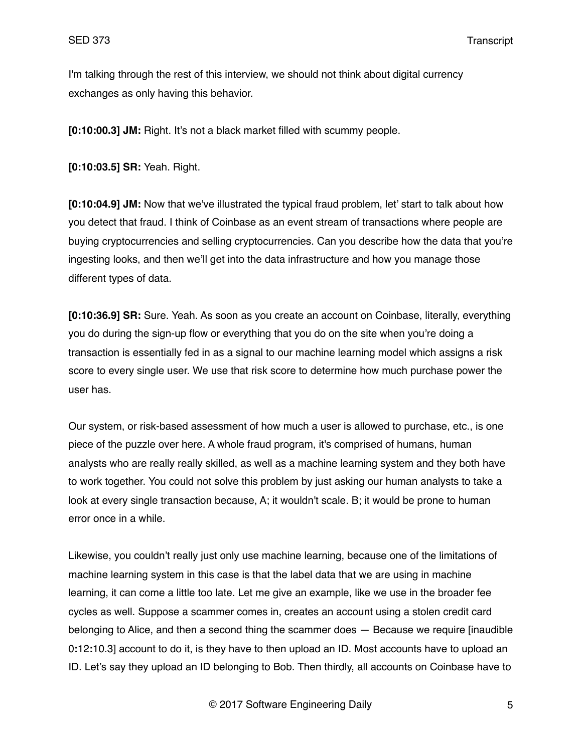I'm talking through the rest of this interview, we should not think about digital currency exchanges as only having this behavior.

**[0:10:00.3] JM:** Right. It's not a black market filled with scummy people.

**[0:10:03.5] SR:** Yeah. Right.

**[0:10:04.9] JM:** Now that we've illustrated the typical fraud problem, let' start to talk about how you detect that fraud. I think of Coinbase as an event stream of transactions where people are buying cryptocurrencies and selling cryptocurrencies. Can you describe how the data that you're ingesting looks, and then we'll get into the data infrastructure and how you manage those different types of data.

**[0:10:36.9] SR:** Sure. Yeah. As soon as you create an account on Coinbase, literally, everything you do during the sign-up flow or everything that you do on the site when you're doing a transaction is essentially fed in as a signal to our machine learning model which assigns a risk score to every single user. We use that risk score to determine how much purchase power the user has.

Our system, or risk-based assessment of how much a user is allowed to purchase, etc., is one piece of the puzzle over here. A whole fraud program, it's comprised of humans, human analysts who are really really skilled, as well as a machine learning system and they both have to work together. You could not solve this problem by just asking our human analysts to take a look at every single transaction because, A; it wouldn't scale. B; it would be prone to human error once in a while.

Likewise, you couldn't really just only use machine learning, because one of the limitations of machine learning system in this case is that the label data that we are using in machine learning, it can come a little too late. Let me give an example, like we use in the broader fee cycles as well. Suppose a scammer comes in, creates an account using a stolen credit card belonging to Alice, and then a second thing the scammer does — Because we require [inaudible 0**:**12**:**10.3] account to do it, is they have to then upload an ID. Most accounts have to upload an ID. Let's say they upload an ID belonging to Bob. Then thirdly, all accounts on Coinbase have to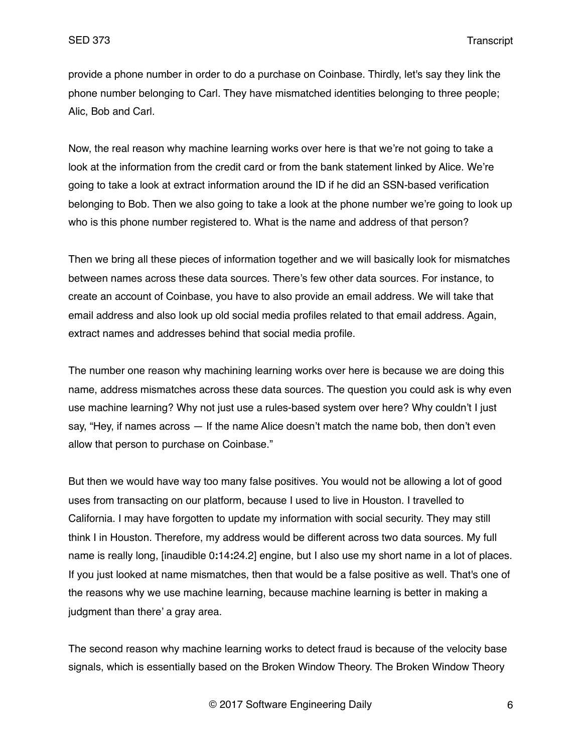provide a phone number in order to do a purchase on Coinbase. Thirdly, let's say they link the phone number belonging to Carl. They have mismatched identities belonging to three people; Alic, Bob and Carl.

Now, the real reason why machine learning works over here is that we're not going to take a look at the information from the credit card or from the bank statement linked by Alice. We're going to take a look at extract information around the ID if he did an SSN-based verification belonging to Bob. Then we also going to take a look at the phone number we're going to look up who is this phone number registered to. What is the name and address of that person?

Then we bring all these pieces of information together and we will basically look for mismatches between names across these data sources. There's few other data sources. For instance, to create an account of Coinbase, you have to also provide an email address. We will take that email address and also look up old social media profiles related to that email address. Again, extract names and addresses behind that social media profile.

The number one reason why machining learning works over here is because we are doing this name, address mismatches across these data sources. The question you could ask is why even use machine learning? Why not just use a rules-based system over here? Why couldn't I just say, "Hey, if names across — If the name Alice doesn't match the name bob, then don't even allow that person to purchase on Coinbase."

But then we would have way too many false positives. You would not be allowing a lot of good uses from transacting on our platform, because I used to live in Houston. I travelled to California. I may have forgotten to update my information with social security. They may still think I in Houston. Therefore, my address would be different across two data sources. My full name is really long, [inaudible 0**:**14**:**24.2] engine, but I also use my short name in a lot of places. If you just looked at name mismatches, then that would be a false positive as well. That's one of the reasons why we use machine learning, because machine learning is better in making a judgment than there' a gray area.

The second reason why machine learning works to detect fraud is because of the velocity base signals, which is essentially based on the Broken Window Theory. The Broken Window Theory

© 2017 Software Engineering Daily 6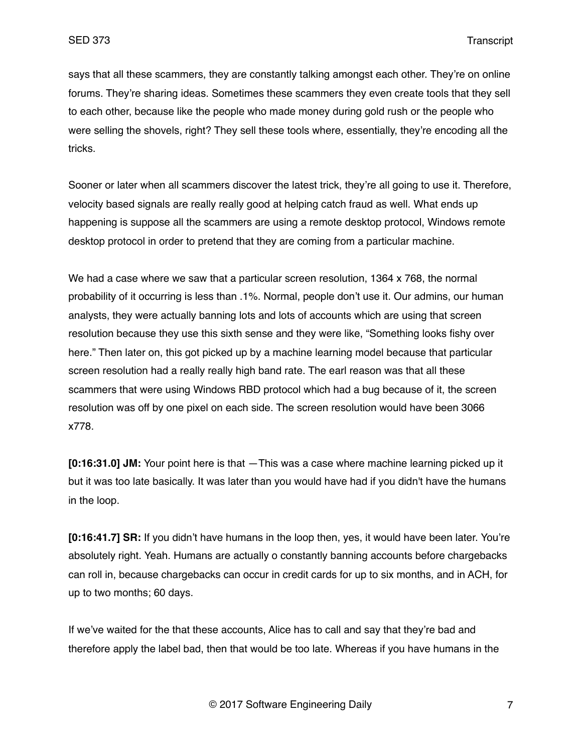says that all these scammers, they are constantly talking amongst each other. They're on online forums. They're sharing ideas. Sometimes these scammers they even create tools that they sell to each other, because like the people who made money during gold rush or the people who were selling the shovels, right? They sell these tools where, essentially, they're encoding all the tricks.

Sooner or later when all scammers discover the latest trick, they're all going to use it. Therefore, velocity based signals are really really good at helping catch fraud as well. What ends up happening is suppose all the scammers are using a remote desktop protocol, Windows remote desktop protocol in order to pretend that they are coming from a particular machine.

We had a case where we saw that a particular screen resolution, 1364 x 768, the normal probability of it occurring is less than .1%. Normal, people don't use it. Our admins, our human analysts, they were actually banning lots and lots of accounts which are using that screen resolution because they use this sixth sense and they were like, "Something looks fishy over here." Then later on, this got picked up by a machine learning model because that particular screen resolution had a really really high band rate. The earl reason was that all these scammers that were using Windows RBD protocol which had a bug because of it, the screen resolution was off by one pixel on each side. The screen resolution would have been 3066 x778.

**[0:16:31.0] JM:** Your point here is that —This was a case where machine learning picked up it but it was too late basically. It was later than you would have had if you didn't have the humans in the loop.

**[0:16:41.7] SR:** If you didn't have humans in the loop then, yes, it would have been later. You're absolutely right. Yeah. Humans are actually o constantly banning accounts before chargebacks can roll in, because chargebacks can occur in credit cards for up to six months, and in ACH, for up to two months; 60 days.

If we've waited for the that these accounts, Alice has to call and say that they're bad and therefore apply the label bad, then that would be too late. Whereas if you have humans in the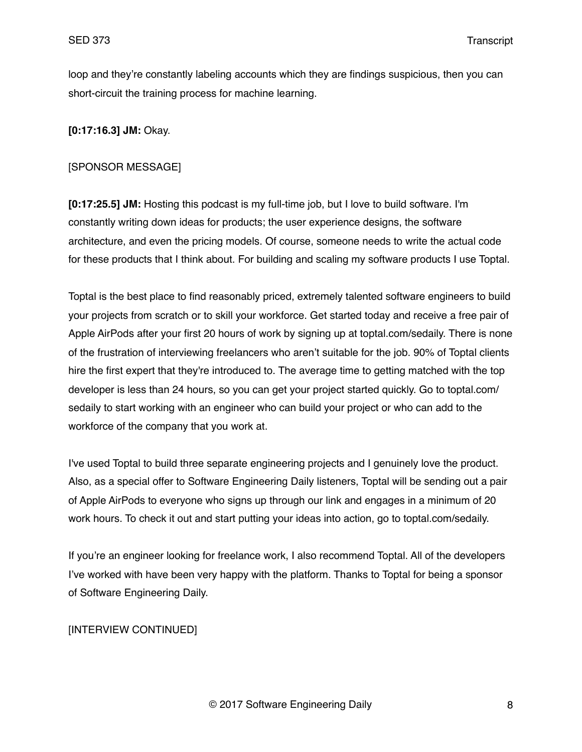loop and they're constantly labeling accounts which they are findings suspicious, then you can short-circuit the training process for machine learning.

**[0:17:16.3] JM:** Okay.

#### [SPONSOR MESSAGE]

**[0:17:25.5] JM:** Hosting this podcast is my full-time job, but I love to build software. I'm constantly writing down ideas for products; the user experience designs, the software architecture, and even the pricing models. Of course, someone needs to write the actual code for these products that I think about. For building and scaling my software products I use Toptal.

Toptal is the best place to find reasonably priced, extremely talented software engineers to build your projects from scratch or to skill your workforce. Get started today and receive a free pair of Apple AirPods after your first 20 hours of work by signing up at toptal.com/sedaily. There is none of the frustration of interviewing freelancers who aren't suitable for the job. 90% of Toptal clients hire the first expert that they're introduced to. The average time to getting matched with the top developer is less than 24 hours, so you can get your project started quickly. Go to toptal.com/ sedaily to start working with an engineer who can build your project or who can add to the workforce of the company that you work at.

I've used Toptal to build three separate engineering projects and I genuinely love the product. Also, as a special offer to Software Engineering Daily listeners, Toptal will be sending out a pair of Apple AirPods to everyone who signs up through our link and engages in a minimum of 20 work hours. To check it out and start putting your ideas into action, go to toptal.com/sedaily.

If you're an engineer looking for freelance work, I also recommend Toptal. All of the developers I've worked with have been very happy with the platform. Thanks to Toptal for being a sponsor of Software Engineering Daily.

#### [INTERVIEW CONTINUED]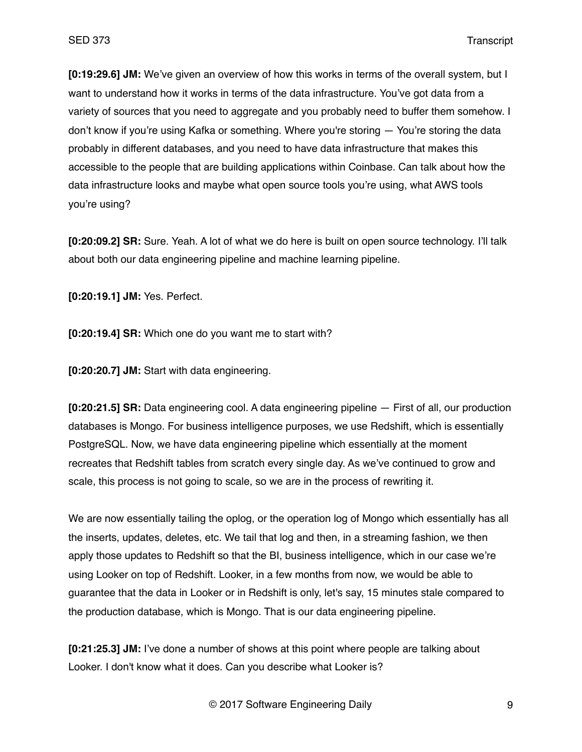**[0:19:29.6] JM:** We've given an overview of how this works in terms of the overall system, but I want to understand how it works in terms of the data infrastructure. You've got data from a variety of sources that you need to aggregate and you probably need to buffer them somehow. I don't know if you're using Kafka or something. Where you're storing — You're storing the data probably in different databases, and you need to have data infrastructure that makes this accessible to the people that are building applications within Coinbase. Can talk about how the data infrastructure looks and maybe what open source tools you're using, what AWS tools you're using?

**[0:20:09.2] SR:** Sure. Yeah. A lot of what we do here is built on open source technology. I'll talk about both our data engineering pipeline and machine learning pipeline.

**[0:20:19.1] JM:** Yes. Perfect.

**[0:20:19.4] SR:** Which one do you want me to start with?

**[0:20:20.7] JM:** Start with data engineering.

**[0:20:21.5] SR:** Data engineering cool. A data engineering pipeline — First of all, our production databases is Mongo. For business intelligence purposes, we use Redshift, which is essentially PostgreSQL. Now, we have data engineering pipeline which essentially at the moment recreates that Redshift tables from scratch every single day. As we've continued to grow and scale, this process is not going to scale, so we are in the process of rewriting it.

We are now essentially tailing the oplog, or the operation log of Mongo which essentially has all the inserts, updates, deletes, etc. We tail that log and then, in a streaming fashion, we then apply those updates to Redshift so that the BI, business intelligence, which in our case we're using Looker on top of Redshift. Looker, in a few months from now, we would be able to guarantee that the data in Looker or in Redshift is only, let's say, 15 minutes stale compared to the production database, which is Mongo. That is our data engineering pipeline.

**[0:21:25.3] JM:** I've done a number of shows at this point where people are talking about Looker. I don't know what it does. Can you describe what Looker is?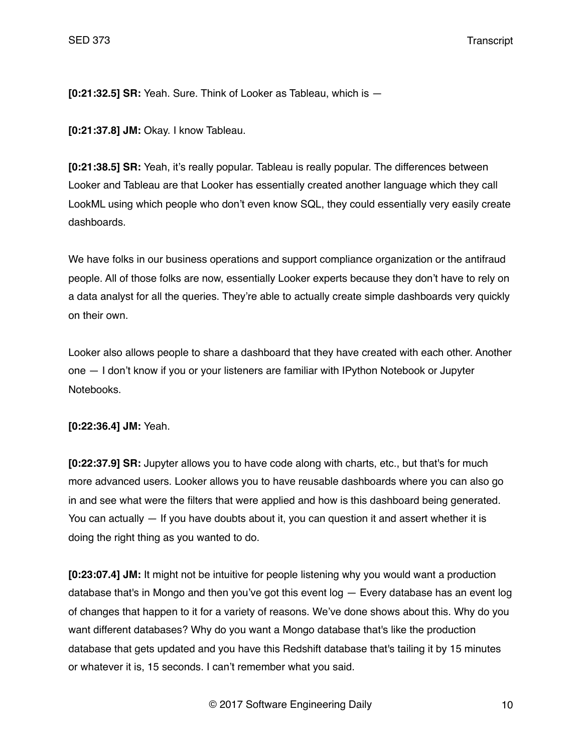**[0:21:32.5] SR:** Yeah. Sure. Think of Looker as Tableau, which is —

**[0:21:37.8] JM:** Okay. I know Tableau.

**[0:21:38.5] SR:** Yeah, it's really popular. Tableau is really popular. The differences between Looker and Tableau are that Looker has essentially created another language which they call LookML using which people who don't even know SQL, they could essentially very easily create dashboards.

We have folks in our business operations and support compliance organization or the antifraud people. All of those folks are now, essentially Looker experts because they don't have to rely on a data analyst for all the queries. They're able to actually create simple dashboards very quickly on their own.

Looker also allows people to share a dashboard that they have created with each other. Another one — I don't know if you or your listeners are familiar with IPython Notebook or Jupyter Notebooks.

**[0:22:36.4] JM:** Yeah.

**[0:22:37.9] SR:** Jupyter allows you to have code along with charts, etc., but that's for much more advanced users. Looker allows you to have reusable dashboards where you can also go in and see what were the filters that were applied and how is this dashboard being generated. You can actually — If you have doubts about it, you can question it and assert whether it is doing the right thing as you wanted to do.

**[0:23:07.4] JM:** It might not be intuitive for people listening why you would want a production database that's in Mongo and then you've got this event log — Every database has an event log of changes that happen to it for a variety of reasons. We've done shows about this. Why do you want different databases? Why do you want a Mongo database that's like the production database that gets updated and you have this Redshift database that's tailing it by 15 minutes or whatever it is, 15 seconds. I can't remember what you said.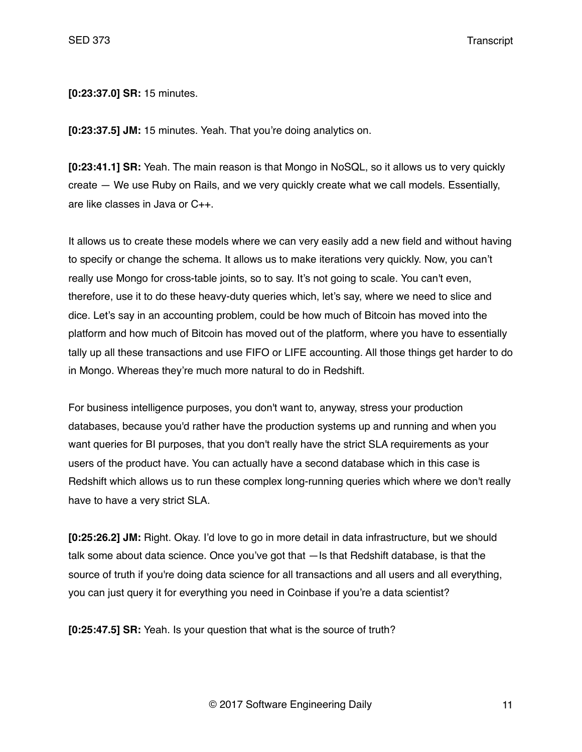**[0:23:37.0] SR:** 15 minutes.

**[0:23:37.5] JM:** 15 minutes. Yeah. That you're doing analytics on.

**[0:23:41.1] SR:** Yeah. The main reason is that Mongo in NoSQL, so it allows us to very quickly create — We use Ruby on Rails, and we very quickly create what we call models. Essentially, are like classes in Java or C++.

It allows us to create these models where we can very easily add a new field and without having to specify or change the schema. It allows us to make iterations very quickly. Now, you can't really use Mongo for cross-table joints, so to say. It's not going to scale. You can't even, therefore, use it to do these heavy-duty queries which, let's say, where we need to slice and dice. Let's say in an accounting problem, could be how much of Bitcoin has moved into the platform and how much of Bitcoin has moved out of the platform, where you have to essentially tally up all these transactions and use FIFO or LIFE accounting. All those things get harder to do in Mongo. Whereas they're much more natural to do in Redshift.

For business intelligence purposes, you don't want to, anyway, stress your production databases, because you'd rather have the production systems up and running and when you want queries for BI purposes, that you don't really have the strict SLA requirements as your users of the product have. You can actually have a second database which in this case is Redshift which allows us to run these complex long-running queries which where we don't really have to have a very strict SLA.

**[0:25:26.2] JM:** Right. Okay. I'd love to go in more detail in data infrastructure, but we should talk some about data science. Once you've got that —Is that Redshift database, is that the source of truth if you're doing data science for all transactions and all users and all everything, you can just query it for everything you need in Coinbase if you're a data scientist?

**[0:25:47.5] SR:** Yeah. Is your question that what is the source of truth?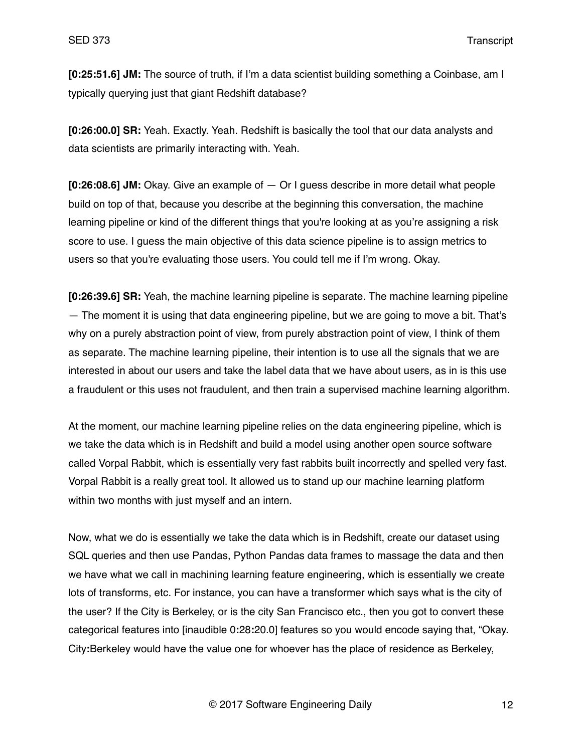**[0:25:51.6] JM:** The source of truth, if I'm a data scientist building something a Coinbase, am I typically querying just that giant Redshift database?

**[0:26:00.0] SR:** Yeah. Exactly. Yeah. Redshift is basically the tool that our data analysts and data scientists are primarily interacting with. Yeah.

**[0:26:08.6] JM:** Okay. Give an example of — Or I guess describe in more detail what people build on top of that, because you describe at the beginning this conversation, the machine learning pipeline or kind of the different things that you're looking at as you're assigning a risk score to use. I guess the main objective of this data science pipeline is to assign metrics to users so that you're evaluating those users. You could tell me if I'm wrong. Okay.

**[0:26:39.6] SR:** Yeah, the machine learning pipeline is separate. The machine learning pipeline — The moment it is using that data engineering pipeline, but we are going to move a bit. That's why on a purely abstraction point of view, from purely abstraction point of view, I think of them as separate. The machine learning pipeline, their intention is to use all the signals that we are interested in about our users and take the label data that we have about users, as in is this use a fraudulent or this uses not fraudulent, and then train a supervised machine learning algorithm.

At the moment, our machine learning pipeline relies on the data engineering pipeline, which is we take the data which is in Redshift and build a model using another open source software called Vorpal Rabbit, which is essentially very fast rabbits built incorrectly and spelled very fast. Vorpal Rabbit is a really great tool. It allowed us to stand up our machine learning platform within two months with just myself and an intern.

Now, what we do is essentially we take the data which is in Redshift, create our dataset using SQL queries and then use Pandas, Python Pandas data frames to massage the data and then we have what we call in machining learning feature engineering, which is essentially we create lots of transforms, etc. For instance, you can have a transformer which says what is the city of the user? If the City is Berkeley, or is the city San Francisco etc., then you got to convert these categorical features into [inaudible 0**:**28**:**20.0] features so you would encode saying that, "Okay. City**:**Berkeley would have the value one for whoever has the place of residence as Berkeley,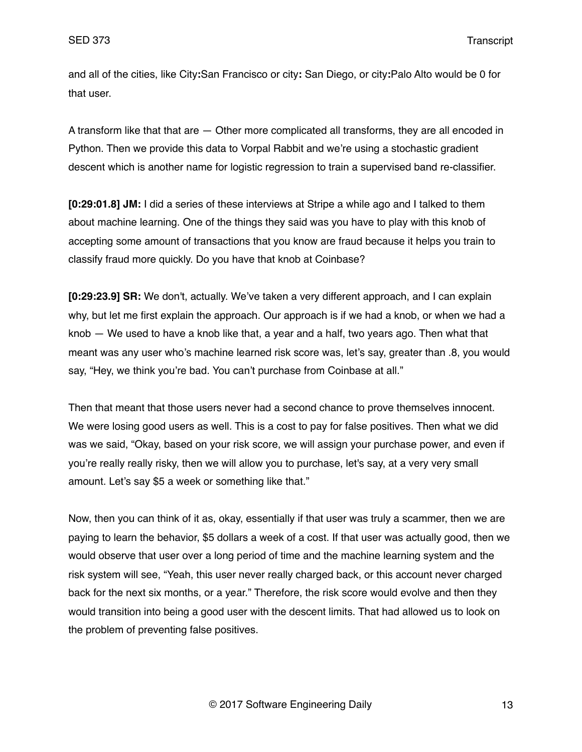and all of the cities, like City**:**San Francisco or city**:** San Diego, or city**:**Palo Alto would be 0 for that user.

A transform like that that are — Other more complicated all transforms, they are all encoded in Python. Then we provide this data to Vorpal Rabbit and we're using a stochastic gradient descent which is another name for logistic regression to train a supervised band re-classifier.

**[0:29:01.8] JM:** I did a series of these interviews at Stripe a while ago and I talked to them about machine learning. One of the things they said was you have to play with this knob of accepting some amount of transactions that you know are fraud because it helps you train to classify fraud more quickly. Do you have that knob at Coinbase?

**[0:29:23.9] SR:** We don't, actually. We've taken a very different approach, and I can explain why, but let me first explain the approach. Our approach is if we had a knob, or when we had a knob — We used to have a knob like that, a year and a half, two years ago. Then what that meant was any user who's machine learned risk score was, let's say, greater than .8, you would say, "Hey, we think you're bad. You can't purchase from Coinbase at all."

Then that meant that those users never had a second chance to prove themselves innocent. We were losing good users as well. This is a cost to pay for false positives. Then what we did was we said, "Okay, based on your risk score, we will assign your purchase power, and even if you're really really risky, then we will allow you to purchase, let's say, at a very very small amount. Let's say \$5 a week or something like that."

Now, then you can think of it as, okay, essentially if that user was truly a scammer, then we are paying to learn the behavior, \$5 dollars a week of a cost. If that user was actually good, then we would observe that user over a long period of time and the machine learning system and the risk system will see, "Yeah, this user never really charged back, or this account never charged back for the next six months, or a year." Therefore, the risk score would evolve and then they would transition into being a good user with the descent limits. That had allowed us to look on the problem of preventing false positives.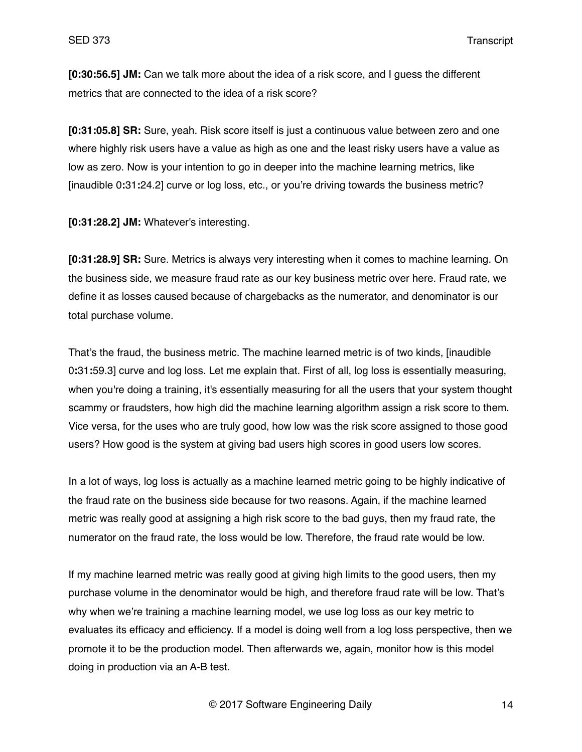**[0:30:56.5] JM:** Can we talk more about the idea of a risk score, and I guess the different metrics that are connected to the idea of a risk score?

**[0:31:05.8] SR:** Sure, yeah. Risk score itself is just a continuous value between zero and one where highly risk users have a value as high as one and the least risky users have a value as low as zero. Now is your intention to go in deeper into the machine learning metrics, like [inaudible 0**:**31**:**24.2] curve or log loss, etc., or you're driving towards the business metric?

**[0:31:28.2] JM:** Whatever's interesting.

**[0:31:28.9] SR:** Sure. Metrics is always very interesting when it comes to machine learning. On the business side, we measure fraud rate as our key business metric over here. Fraud rate, we define it as losses caused because of chargebacks as the numerator, and denominator is our total purchase volume.

That's the fraud, the business metric. The machine learned metric is of two kinds, [inaudible 0**:**31**:**59.3] curve and log loss. Let me explain that. First of all, log loss is essentially measuring, when you're doing a training, it's essentially measuring for all the users that your system thought scammy or fraudsters, how high did the machine learning algorithm assign a risk score to them. Vice versa, for the uses who are truly good, how low was the risk score assigned to those good users? How good is the system at giving bad users high scores in good users low scores.

In a lot of ways, log loss is actually as a machine learned metric going to be highly indicative of the fraud rate on the business side because for two reasons. Again, if the machine learned metric was really good at assigning a high risk score to the bad guys, then my fraud rate, the numerator on the fraud rate, the loss would be low. Therefore, the fraud rate would be low.

If my machine learned metric was really good at giving high limits to the good users, then my purchase volume in the denominator would be high, and therefore fraud rate will be low. That's why when we're training a machine learning model, we use log loss as our key metric to evaluates its efficacy and efficiency. If a model is doing well from a log loss perspective, then we promote it to be the production model. Then afterwards we, again, monitor how is this model doing in production via an A-B test.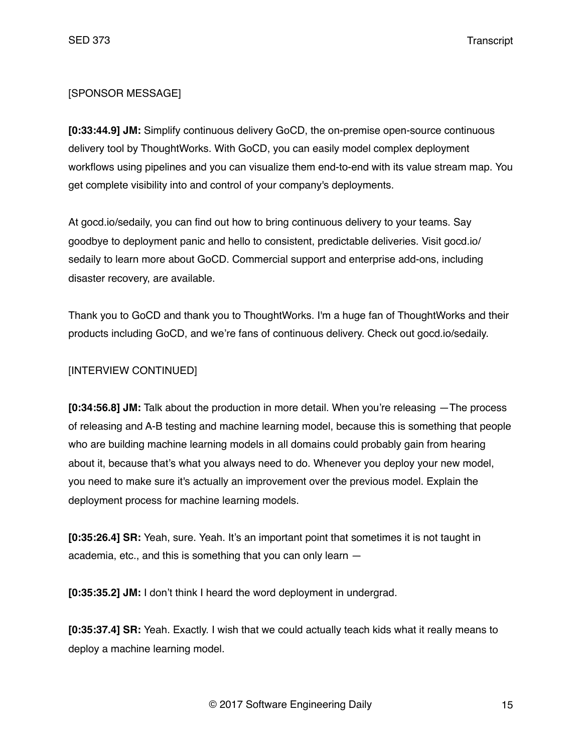# [SPONSOR MESSAGE]

**[0:33:44.9] JM:** Simplify continuous delivery GoCD, the on-premise open-source continuous delivery tool by ThoughtWorks. With GoCD, you can easily model complex deployment workflows using pipelines and you can visualize them end-to-end with its value stream map. You get complete visibility into and control of your company's deployments.

At gocd.io/sedaily, you can find out how to bring continuous delivery to your teams. Say goodbye to deployment panic and hello to consistent, predictable deliveries. Visit gocd.io/ sedaily to learn more about GoCD. Commercial support and enterprise add-ons, including disaster recovery, are available.

Thank you to GoCD and thank you to ThoughtWorks. I'm a huge fan of ThoughtWorks and their products including GoCD, and we're fans of continuous delivery. Check out gocd.io/sedaily.

# [INTERVIEW CONTINUED]

**[0:34:56.8] JM:** Talk about the production in more detail. When you're releasing —The process of releasing and A-B testing and machine learning model, because this is something that people who are building machine learning models in all domains could probably gain from hearing about it, because that's what you always need to do. Whenever you deploy your new model, you need to make sure it's actually an improvement over the previous model. Explain the deployment process for machine learning models.

**[0:35:26.4] SR:** Yeah, sure. Yeah. It's an important point that sometimes it is not taught in academia, etc., and this is something that you can only learn —

**[0:35:35.2] JM:** I don't think I heard the word deployment in undergrad.

**[0:35:37.4] SR:** Yeah. Exactly. I wish that we could actually teach kids what it really means to deploy a machine learning model.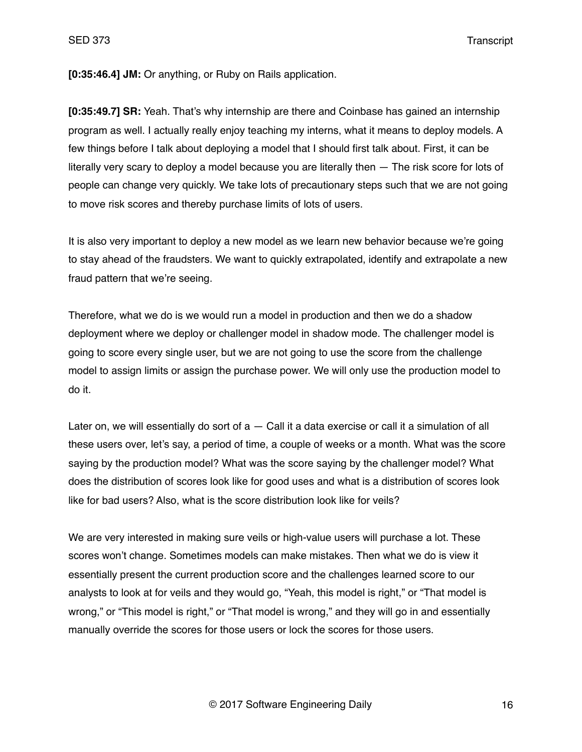**[0:35:46.4] JM:** Or anything, or Ruby on Rails application.

**[0:35:49.7] SR:** Yeah. That's why internship are there and Coinbase has gained an internship program as well. I actually really enjoy teaching my interns, what it means to deploy models. A few things before I talk about deploying a model that I should first talk about. First, it can be literally very scary to deploy a model because you are literally then — The risk score for lots of people can change very quickly. We take lots of precautionary steps such that we are not going to move risk scores and thereby purchase limits of lots of users.

It is also very important to deploy a new model as we learn new behavior because we're going to stay ahead of the fraudsters. We want to quickly extrapolated, identify and extrapolate a new fraud pattern that we're seeing.

Therefore, what we do is we would run a model in production and then we do a shadow deployment where we deploy or challenger model in shadow mode. The challenger model is going to score every single user, but we are not going to use the score from the challenge model to assign limits or assign the purchase power. We will only use the production model to do it.

Later on, we will essentially do sort of a - Call it a data exercise or call it a simulation of all these users over, let's say, a period of time, a couple of weeks or a month. What was the score saying by the production model? What was the score saying by the challenger model? What does the distribution of scores look like for good uses and what is a distribution of scores look like for bad users? Also, what is the score distribution look like for veils?

We are very interested in making sure veils or high-value users will purchase a lot. These scores won't change. Sometimes models can make mistakes. Then what we do is view it essentially present the current production score and the challenges learned score to our analysts to look at for veils and they would go, "Yeah, this model is right," or "That model is wrong," or "This model is right," or "That model is wrong," and they will go in and essentially manually override the scores for those users or lock the scores for those users.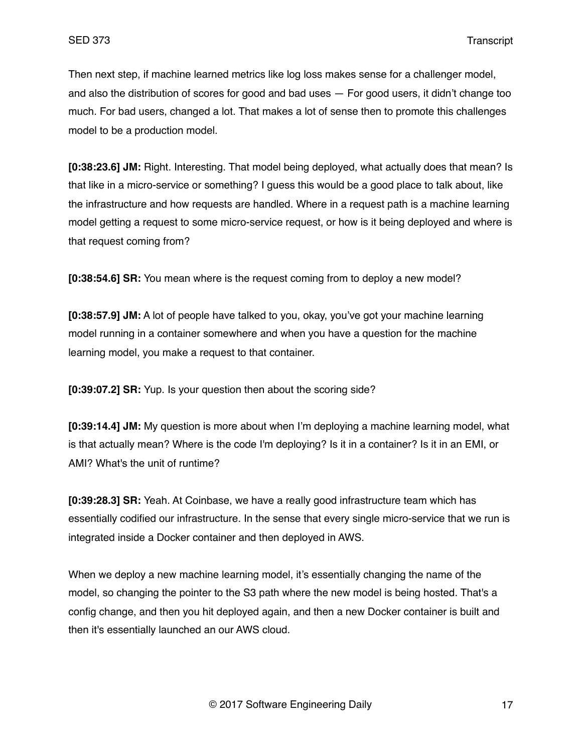Then next step, if machine learned metrics like log loss makes sense for a challenger model, and also the distribution of scores for good and bad uses — For good users, it didn't change too much. For bad users, changed a lot. That makes a lot of sense then to promote this challenges model to be a production model.

**[0:38:23.6] JM:** Right. Interesting. That model being deployed, what actually does that mean? Is that like in a micro-service or something? I guess this would be a good place to talk about, like the infrastructure and how requests are handled. Where in a request path is a machine learning model getting a request to some micro-service request, or how is it being deployed and where is that request coming from?

**[0:38:54.6] SR:** You mean where is the request coming from to deploy a new model?

**[0:38:57.9] JM:** A lot of people have talked to you, okay, you've got your machine learning model running in a container somewhere and when you have a question for the machine learning model, you make a request to that container.

**[0:39:07.2] SR:** Yup. Is your question then about the scoring side?

**[0:39:14.4] JM:** My question is more about when I'm deploying a machine learning model, what is that actually mean? Where is the code I'm deploying? Is it in a container? Is it in an EMI, or AMI? What's the unit of runtime?

**[0:39:28.3] SR:** Yeah. At Coinbase, we have a really good infrastructure team which has essentially codified our infrastructure. In the sense that every single micro-service that we run is integrated inside a Docker container and then deployed in AWS.

When we deploy a new machine learning model, it's essentially changing the name of the model, so changing the pointer to the S3 path where the new model is being hosted. That's a config change, and then you hit deployed again, and then a new Docker container is built and then it's essentially launched an our AWS cloud.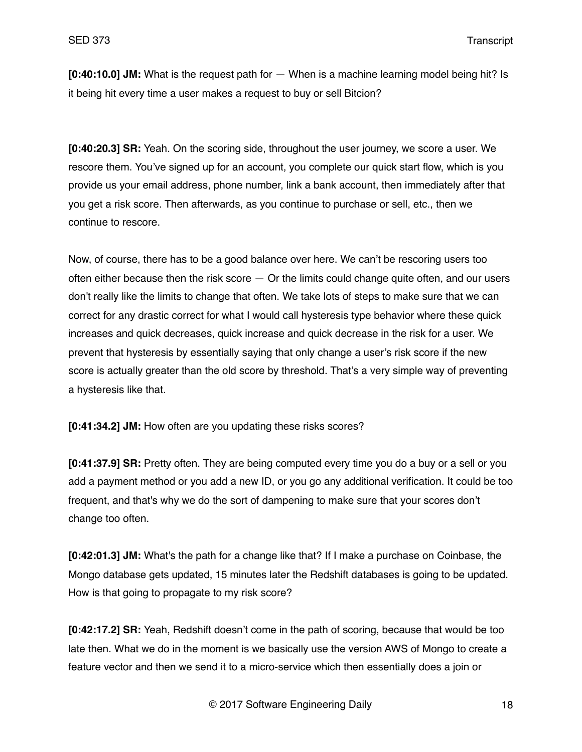**[0:40:10.0] JM:** What is the request path for — When is a machine learning model being hit? Is it being hit every time a user makes a request to buy or sell Bitcion?

**[0:40:20.3] SR:** Yeah. On the scoring side, throughout the user journey, we score a user. We rescore them. You've signed up for an account, you complete our quick start flow, which is you provide us your email address, phone number, link a bank account, then immediately after that you get a risk score. Then afterwards, as you continue to purchase or sell, etc., then we continue to rescore.

Now, of course, there has to be a good balance over here. We can't be rescoring users too often either because then the risk score  $-$  Or the limits could change quite often, and our users don't really like the limits to change that often. We take lots of steps to make sure that we can correct for any drastic correct for what I would call hysteresis type behavior where these quick increases and quick decreases, quick increase and quick decrease in the risk for a user. We prevent that hysteresis by essentially saying that only change a user's risk score if the new score is actually greater than the old score by threshold. That's a very simple way of preventing a hysteresis like that.

**[0:41:34.2] JM:** How often are you updating these risks scores?

**[0:41:37.9] SR:** Pretty often. They are being computed every time you do a buy or a sell or you add a payment method or you add a new ID, or you go any additional verification. It could be too frequent, and that's why we do the sort of dampening to make sure that your scores don't change too often.

**[0:42:01.3] JM:** What's the path for a change like that? If I make a purchase on Coinbase, the Mongo database gets updated, 15 minutes later the Redshift databases is going to be updated. How is that going to propagate to my risk score?

**[0:42:17.2] SR:** Yeah, Redshift doesn't come in the path of scoring, because that would be too late then. What we do in the moment is we basically use the version AWS of Mongo to create a feature vector and then we send it to a micro-service which then essentially does a join or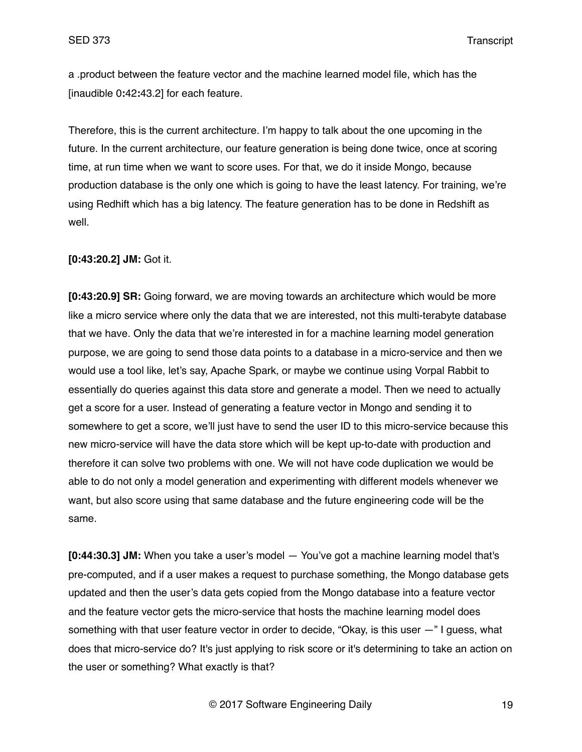a .product between the feature vector and the machine learned model file, which has the [inaudible 0**:**42**:**43.2] for each feature.

Therefore, this is the current architecture. I'm happy to talk about the one upcoming in the future. In the current architecture, our feature generation is being done twice, once at scoring time, at run time when we want to score uses. For that, we do it inside Mongo, because production database is the only one which is going to have the least latency. For training, we're using Redhift which has a big latency. The feature generation has to be done in Redshift as well.

**[0:43:20.2] JM:** Got it.

**[0:43:20.9] SR:** Going forward, we are moving towards an architecture which would be more like a micro service where only the data that we are interested, not this multi-terabyte database that we have. Only the data that we're interested in for a machine learning model generation purpose, we are going to send those data points to a database in a micro-service and then we would use a tool like, let's say, Apache Spark, or maybe we continue using Vorpal Rabbit to essentially do queries against this data store and generate a model. Then we need to actually get a score for a user. Instead of generating a feature vector in Mongo and sending it to somewhere to get a score, we'll just have to send the user ID to this micro-service because this new micro-service will have the data store which will be kept up-to-date with production and therefore it can solve two problems with one. We will not have code duplication we would be able to do not only a model generation and experimenting with different models whenever we want, but also score using that same database and the future engineering code will be the same.

**[0:44:30.3] JM:** When you take a user's model — You've got a machine learning model that's pre-computed, and if a user makes a request to purchase something, the Mongo database gets updated and then the user's data gets copied from the Mongo database into a feature vector and the feature vector gets the micro-service that hosts the machine learning model does something with that user feature vector in order to decide, "Okay, is this user —" I guess, what does that micro-service do? It's just applying to risk score or it's determining to take an action on the user or something? What exactly is that?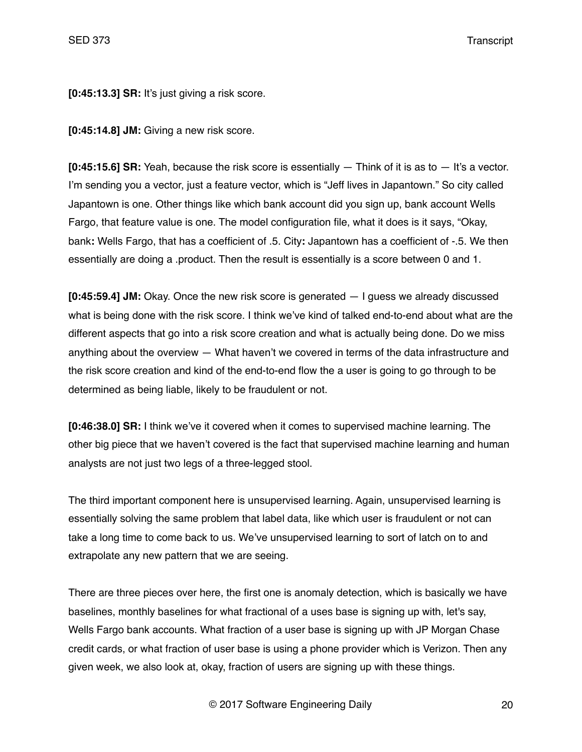**[0:45:13.3] SR:** It's just giving a risk score.

**[0:45:14.8] JM:** Giving a new risk score.

**[0:45:15.6] SR:** Yeah, because the risk score is essentially — Think of it is as to — It's a vector. I'm sending you a vector, just a feature vector, which is "Jeff lives in Japantown." So city called Japantown is one. Other things like which bank account did you sign up, bank account Wells Fargo, that feature value is one. The model configuration file, what it does is it says, "Okay, bank**:** Wells Fargo, that has a coefficient of .5. City**:** Japantown has a coefficient of -.5. We then essentially are doing a .product. Then the result is essentially is a score between 0 and 1.

**[0:45:59.4] JM:** Okay. Once the new risk score is generated — I guess we already discussed what is being done with the risk score. I think we've kind of talked end-to-end about what are the different aspects that go into a risk score creation and what is actually being done. Do we miss anything about the overview — What haven't we covered in terms of the data infrastructure and the risk score creation and kind of the end-to-end flow the a user is going to go through to be determined as being liable, likely to be fraudulent or not.

**[0:46:38.0] SR:** I think we've it covered when it comes to supervised machine learning. The other big piece that we haven't covered is the fact that supervised machine learning and human analysts are not just two legs of a three-legged stool.

The third important component here is unsupervised learning. Again, unsupervised learning is essentially solving the same problem that label data, like which user is fraudulent or not can take a long time to come back to us. We've unsupervised learning to sort of latch on to and extrapolate any new pattern that we are seeing.

There are three pieces over here, the first one is anomaly detection, which is basically we have baselines, monthly baselines for what fractional of a uses base is signing up with, let's say, Wells Fargo bank accounts. What fraction of a user base is signing up with JP Morgan Chase credit cards, or what fraction of user base is using a phone provider which is Verizon. Then any given week, we also look at, okay, fraction of users are signing up with these things.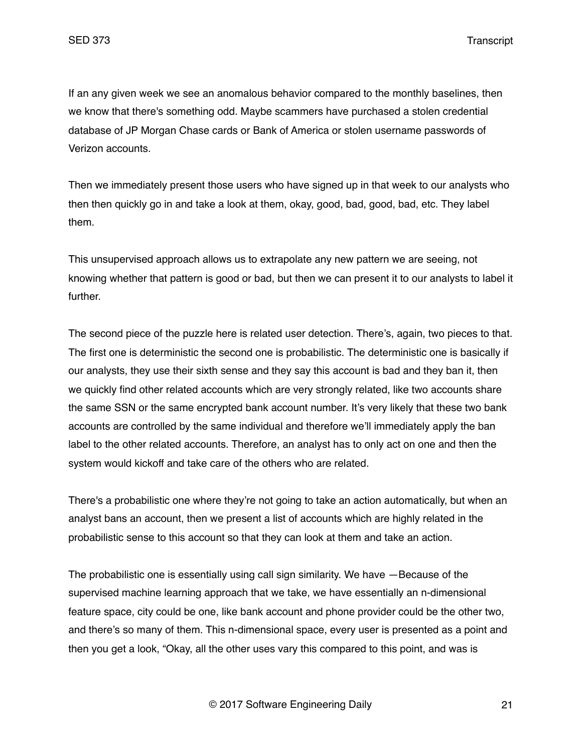If an any given week we see an anomalous behavior compared to the monthly baselines, then we know that there's something odd. Maybe scammers have purchased a stolen credential database of JP Morgan Chase cards or Bank of America or stolen username passwords of Verizon accounts.

Then we immediately present those users who have signed up in that week to our analysts who then then quickly go in and take a look at them, okay, good, bad, good, bad, etc. They label them.

This unsupervised approach allows us to extrapolate any new pattern we are seeing, not knowing whether that pattern is good or bad, but then we can present it to our analysts to label it further.

The second piece of the puzzle here is related user detection. There's, again, two pieces to that. The first one is deterministic the second one is probabilistic. The deterministic one is basically if our analysts, they use their sixth sense and they say this account is bad and they ban it, then we quickly find other related accounts which are very strongly related, like two accounts share the same SSN or the same encrypted bank account number. It's very likely that these two bank accounts are controlled by the same individual and therefore we'll immediately apply the ban label to the other related accounts. Therefore, an analyst has to only act on one and then the system would kickoff and take care of the others who are related.

There's a probabilistic one where they're not going to take an action automatically, but when an analyst bans an account, then we present a list of accounts which are highly related in the probabilistic sense to this account so that they can look at them and take an action.

The probabilistic one is essentially using call sign similarity. We have —Because of the supervised machine learning approach that we take, we have essentially an n-dimensional feature space, city could be one, like bank account and phone provider could be the other two, and there's so many of them. This n-dimensional space, every user is presented as a point and then you get a look, "Okay, all the other uses vary this compared to this point, and was is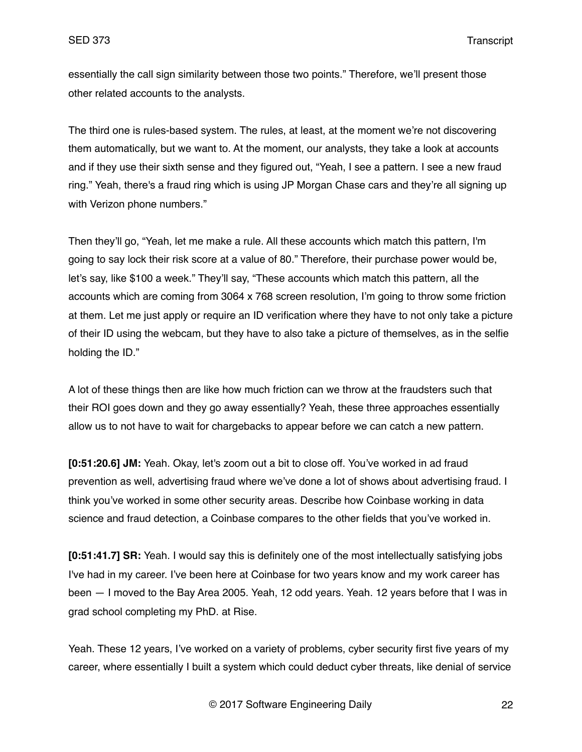essentially the call sign similarity between those two points." Therefore, we'll present those other related accounts to the analysts.

The third one is rules-based system. The rules, at least, at the moment we're not discovering them automatically, but we want to. At the moment, our analysts, they take a look at accounts and if they use their sixth sense and they figured out, "Yeah, I see a pattern. I see a new fraud ring." Yeah, there's a fraud ring which is using JP Morgan Chase cars and they're all signing up with Verizon phone numbers."

Then they'll go, "Yeah, let me make a rule. All these accounts which match this pattern, I'm going to say lock their risk score at a value of 80." Therefore, their purchase power would be, let's say, like \$100 a week." They'll say, "These accounts which match this pattern, all the accounts which are coming from 3064 x 768 screen resolution, I'm going to throw some friction at them. Let me just apply or require an ID verification where they have to not only take a picture of their ID using the webcam, but they have to also take a picture of themselves, as in the selfie holding the ID."

A lot of these things then are like how much friction can we throw at the fraudsters such that their ROI goes down and they go away essentially? Yeah, these three approaches essentially allow us to not have to wait for chargebacks to appear before we can catch a new pattern.

**[0:51:20.6] JM:** Yeah. Okay, let's zoom out a bit to close off. You've worked in ad fraud prevention as well, advertising fraud where we've done a lot of shows about advertising fraud. I think you've worked in some other security areas. Describe how Coinbase working in data science and fraud detection, a Coinbase compares to the other fields that you've worked in.

**[0:51:41.7] SR:** Yeah. I would say this is definitely one of the most intellectually satisfying jobs I've had in my career. I've been here at Coinbase for two years know and my work career has been — I moved to the Bay Area 2005. Yeah, 12 odd years. Yeah. 12 years before that I was in grad school completing my PhD. at Rise.

Yeah. These 12 years, I've worked on a variety of problems, cyber security first five years of my career, where essentially I built a system which could deduct cyber threats, like denial of service

© 2017 Software Engineering Daily 22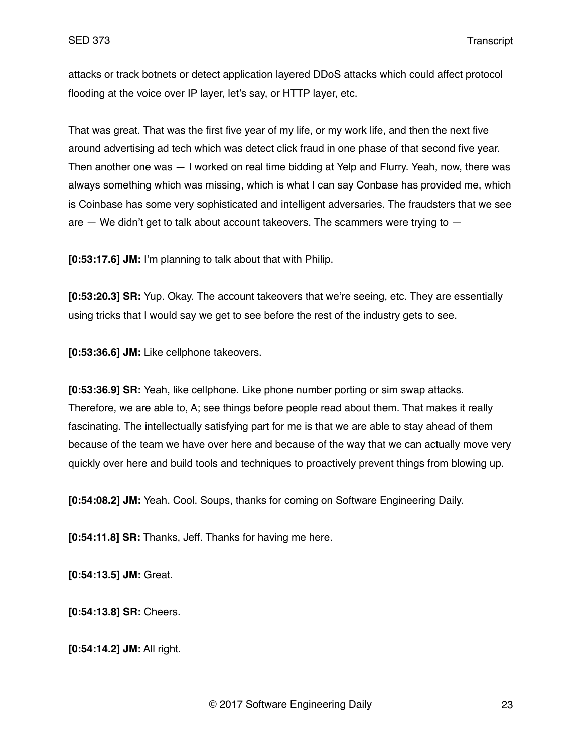attacks or track botnets or detect application layered DDoS attacks which could affect protocol flooding at the voice over IP layer, let's say, or HTTP layer, etc.

That was great. That was the first five year of my life, or my work life, and then the next five around advertising ad tech which was detect click fraud in one phase of that second five year. Then another one was — I worked on real time bidding at Yelp and Flurry. Yeah, now, there was always something which was missing, which is what I can say Conbase has provided me, which is Coinbase has some very sophisticated and intelligent adversaries. The fraudsters that we see are  $-$  We didn't get to talk about account takeovers. The scammers were trying to  $-$ 

**[0:53:17.6] JM:** I'm planning to talk about that with Philip.

**[0:53:20.3] SR:** Yup. Okay. The account takeovers that we're seeing, etc. They are essentially using tricks that I would say we get to see before the rest of the industry gets to see.

**[0:53:36.6] JM:** Like cellphone takeovers.

**[0:53:36.9] SR:** Yeah, like cellphone. Like phone number porting or sim swap attacks. Therefore, we are able to, A; see things before people read about them. That makes it really fascinating. The intellectually satisfying part for me is that we are able to stay ahead of them because of the team we have over here and because of the way that we can actually move very quickly over here and build tools and techniques to proactively prevent things from blowing up.

**[0:54:08.2] JM:** Yeah. Cool. Soups, thanks for coming on Software Engineering Daily.

**[0:54:11.8] SR:** Thanks, Jeff. Thanks for having me here.

**[0:54:13.5] JM:** Great.

**[0:54:13.8] SR:** Cheers.

**[0:54:14.2] JM:** All right.